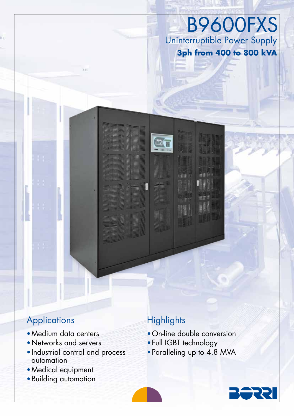Uninterruptible Power Supply **3ph from 400 to 800 kVA** B9600FXS

## **Applications**

- •Medium data centers
- •Networks and servers
- •Industrial control and process automation
- •Medical equipment
- •Building automation

# **Highlights**

m,

- •On-line double conversion
- •Full IGBT technology
- •Paralleling up to 4.8 MVA

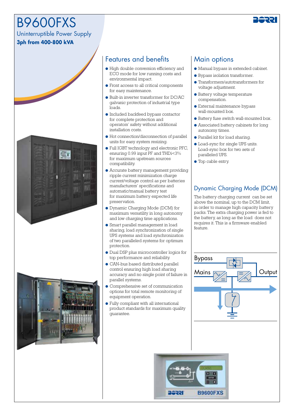# B9600FXS

Uninterruptible Power Supply

#### **3ph from 400-800 kVA**





### Features and benefits | Main options

- High double conversion efficiency and ECO mode for low running costs and environmental impact.
- Front access to all critical components for easy maintenance.
- Built-in inverter transformer for DC/AC galvanic protection of industrial type loads.
- Included backfeed bypass contactor for complete protection and operators' safety without additional installation costs.
- Hot connection/disconnection of parallel units for easy system resizing.
- Full IGBT technology and electronic PFC, ensuring 0.99 input PF and THDi<3% for maximum upstream sources compatibility.
- Accurate battery management providing ripple current minimization charge current/voltage control as per batteries manufacturers' specifications and automatic/manual battery test for maximum battery expected life preservation.
- Dynamic Charging Mode (DCM) for maximum versatility in long autonomy and low charging time applications.
- Smart parallel management in load sharing, load synchronization of single UPS systems and load synchronization of two paralleled systems for optimum protection.
- Dual DSP plus microcontroller logics for top performance and reliability.
- CAN-bus based distributed parallel control ensuring high load sharing accuracy and no single point of failure in parallel systems.
- Comprehensive set of communication options for total remote monitoring of equipment operation.
- Fully compliant with all international product standards for maximum quality guarantee.

- Manual bypass in extended cabinet.
- Bypass isolation transformer.
- Transformers/autotransformers for voltage adjustment.
- Battery voltage temperature compensation.
- External maintenance bypass wall-mounted box.
- Battery fuse switch wall-mounted box.
- Associated battery cabinets for long autonomy times.
- Parallel kit for load sharing.
- Load-sync for single UPS units. Load-sync box for two sets of paralleled UPS.
- Top cable entry.

#### Dynamic Charging Mode (DCM)

The battery charging current can be set above the nominal, up to the DCM limit, in order to manage high capacity battery packs. The extra charging power is fed to the battery, as long as the load does not requires it. This is a firmware enabled feature.





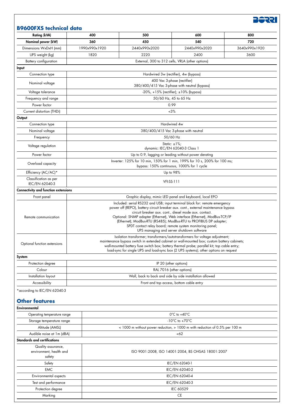

#### **B9600FXS technical data**

| <b>Rating (kVA)</b>                                       | 400                                                                                                                                                                                                                                                                                                                                                                | 500                                                | 600                                              | 800           |  |
|-----------------------------------------------------------|--------------------------------------------------------------------------------------------------------------------------------------------------------------------------------------------------------------------------------------------------------------------------------------------------------------------------------------------------------------------|----------------------------------------------------|--------------------------------------------------|---------------|--|
| Nominal power (kW)                                        | 360                                                                                                                                                                                                                                                                                                                                                                | 450                                                | 540                                              | 720           |  |
| Dimensions WxDxH (mm)                                     | 1990x990x1920                                                                                                                                                                                                                                                                                                                                                      | 2440x990x2020                                      | 2440x990x2020                                    | 3640x990x1920 |  |
| UPS weight (kg)                                           | 1820                                                                                                                                                                                                                                                                                                                                                               | 2220                                               | 2400                                             | 3600          |  |
| Battery configuration                                     |                                                                                                                                                                                                                                                                                                                                                                    |                                                    | External, 300 to 312 cells, VRLA (other options) |               |  |
| Input                                                     |                                                                                                                                                                                                                                                                                                                                                                    |                                                    |                                                  |               |  |
| Connection type                                           |                                                                                                                                                                                                                                                                                                                                                                    |                                                    | Hardwired 3w (rectifier), 4w (bypass)            |               |  |
|                                                           | 400 Vac 3-phase (rectifier)                                                                                                                                                                                                                                                                                                                                        |                                                    |                                                  |               |  |
| Nominal voltage                                           | 380/400/415 Vac 3-phase with neutral (bypass)                                                                                                                                                                                                                                                                                                                      |                                                    |                                                  |               |  |
| Voltage tolerance                                         | $-20\%$ , $+15\%$ (rectifier); $\pm 10\%$ (bypass)                                                                                                                                                                                                                                                                                                                 |                                                    |                                                  |               |  |
| Frequency and range                                       | 50/60 Hz, 45 to 65 Hz                                                                                                                                                                                                                                                                                                                                              |                                                    |                                                  |               |  |
| Power factor                                              | 0.99                                                                                                                                                                                                                                                                                                                                                               |                                                    |                                                  |               |  |
| Current distortion (THDi)                                 |                                                                                                                                                                                                                                                                                                                                                                    |                                                    | $~13\%$                                          |               |  |
| Output                                                    |                                                                                                                                                                                                                                                                                                                                                                    |                                                    |                                                  |               |  |
| Connection type                                           | Hardwired 4w                                                                                                                                                                                                                                                                                                                                                       |                                                    |                                                  |               |  |
| Nominal voltage                                           | 380/400/415 Vac 3-phase with neutral                                                                                                                                                                                                                                                                                                                               |                                                    |                                                  |               |  |
| Frequency                                                 | 50/60 Hz                                                                                                                                                                                                                                                                                                                                                           |                                                    |                                                  |               |  |
| Voltage regulation                                        | Static: $\pm 1\%$ ;<br>dynamic: IEC/EN 62040-3 Class 1                                                                                                                                                                                                                                                                                                             |                                                    |                                                  |               |  |
| Power factor                                              | Up to 0.9, lagging or leading without power derating                                                                                                                                                                                                                                                                                                               |                                                    |                                                  |               |  |
| Overload capacity                                         | Inverter: 125% for 10 min, 150% for 1 min, 199% for 10 s, 200% for 100 ms;<br>bypass: 150% continuous, 1000% for 1 cycle                                                                                                                                                                                                                                           |                                                    |                                                  |               |  |
| Efficiency (AC/AC)*                                       | Up to 98%                                                                                                                                                                                                                                                                                                                                                          |                                                    |                                                  |               |  |
| Classification as per                                     | <b>VFI-SS-111</b>                                                                                                                                                                                                                                                                                                                                                  |                                                    |                                                  |               |  |
| IEC/EN 62040-3                                            |                                                                                                                                                                                                                                                                                                                                                                    |                                                    |                                                  |               |  |
| Connectivity and function extensions                      |                                                                                                                                                                                                                                                                                                                                                                    |                                                    |                                                  |               |  |
| Front panel                                               | Graphic display, mimic LED panel and keyboard, local EPO                                                                                                                                                                                                                                                                                                           |                                                    |                                                  |               |  |
| Remote communication                                      | circuit breaker aux. cont., diesel mode aux. contact.<br>Optional: SNMP adapter (Ethernet), Web interface (Ethernet), ModBus-TCP/IP<br>(Ethernet); ModBus-RTU (RS485); ModBus-RTU to PROFIBUS DP adapter;<br>SPDT contact relay board; remote system monitoring panel;<br>UPS managing and server shutdown software                                                |                                                    |                                                  |               |  |
| Optional function extensions                              | Isolation transformer; transformers/autotransformers for voltage adjustment;<br>maintenance bypass switch in extended cabinet or wall-mounted box; custom battery cabinets;<br>wall-mounted battery fuse switch box; battery thermal probe; parallel kit; top cable entry;<br>load-sync for single UPS and load-sync box (2 UPS systems); other options on request |                                                    |                                                  |               |  |
| System                                                    |                                                                                                                                                                                                                                                                                                                                                                    |                                                    |                                                  |               |  |
| Protection degree                                         | IP 20 (other options)                                                                                                                                                                                                                                                                                                                                              |                                                    |                                                  |               |  |
| Colour                                                    | RAL 7016 (other options)                                                                                                                                                                                                                                                                                                                                           |                                                    |                                                  |               |  |
| Installation layout                                       | Wall, back to back and side by side installation allowed                                                                                                                                                                                                                                                                                                           |                                                    |                                                  |               |  |
| Accessibility                                             | Front and top access, bottom cable entry                                                                                                                                                                                                                                                                                                                           |                                                    |                                                  |               |  |
| *according to IEC/EN 62040-3<br><b>Other features</b>     |                                                                                                                                                                                                                                                                                                                                                                    |                                                    |                                                  |               |  |
| Environmental                                             |                                                                                                                                                                                                                                                                                                                                                                    |                                                    |                                                  |               |  |
| Operating temperature range                               |                                                                                                                                                                                                                                                                                                                                                                    |                                                    | $0^{\circ}$ C to +40 $^{\circ}$ C                |               |  |
| Storage temperature range                                 | -10 $^{\circ}$ C to +70 $^{\circ}$ C                                                                                                                                                                                                                                                                                                                               |                                                    |                                                  |               |  |
| Altitude (AMSL)                                           | < 1000 m without power reduction, > 1000 m with reduction of 0.5% per 100 m                                                                                                                                                                                                                                                                                        |                                                    |                                                  |               |  |
| Audible noise at 1m (dBA)<br>Standards and certifications |                                                                                                                                                                                                                                                                                                                                                                    | <62                                                |                                                  |               |  |
| Quality assurance,<br>environment, health and<br>safety   |                                                                                                                                                                                                                                                                                                                                                                    | ISO 9001:2008, ISO 14001:2004, BS OHSAS 18001:2007 |                                                  |               |  |
| Safety                                                    |                                                                                                                                                                                                                                                                                                                                                                    | IEC/EN 62040-1                                     |                                                  |               |  |
| <b>EMC</b>                                                |                                                                                                                                                                                                                                                                                                                                                                    | IEC/EN 62040-2                                     |                                                  |               |  |
| Environmental aspects                                     | IEC/EN 62040-4                                                                                                                                                                                                                                                                                                                                                     |                                                    |                                                  |               |  |
| Test and performance                                      | IEC/EN 62040-3                                                                                                                                                                                                                                                                                                                                                     |                                                    |                                                  |               |  |
| Protection degree                                         |                                                                                                                                                                                                                                                                                                                                                                    | IEC 60529                                          |                                                  |               |  |
| Marking                                                   |                                                                                                                                                                                                                                                                                                                                                                    | <b>CE</b>                                          |                                                  |               |  |